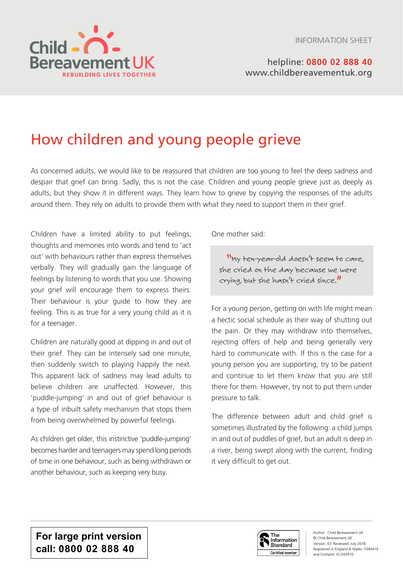

# helpline: **0800 02 888 40** [www.childbereavementuk.org](http://www.childbereavementuk.org)

# How children and young people grieve

As concerned adults, we would like to be reassured that children are too young to feel the deep sadness and despair that grief can bring. Sadly, this is not the case. Children and young people grieve just as deeply as adults, but they show it in different ways. They learn how to grieve by copying the responses of the adults around them. They rely on adults to provide them with what they need to support them in their grief.

Children have a limited ability to put feelings, thoughts and memories into words and tend to 'act out' with behaviours rather than express themselves verbally. They will gradually gain the language of feelings by listening to words that you use. Showing your grief will encourage them to express theirs. Their behaviour is your guide to how they are feeling. This is as true for a very young child as it is for a teenager.

Children are naturally good at dipping in and out of their grief. They can be intensely sad one minute, then suddenly switch to playing happily the next. This apparent lack of sadness may lead adults to believe children are unaffected. However, this 'puddle-jumping' in and out of grief behaviour is a type of inbuilt safety mechanism that stops them from being overwhelmed by powerful feelings.

As children get older, this instinctive 'puddle-jumping' becomes harder and teenagers may spend long periods of time in one behaviour, such as being withdrawn or another behaviour, such as keeping very busy.

One mother said:

"My ten-year-old doesn't seem to care, she cried on the day because we were crying, but she hasn't cried since."

For a young person, getting on with life might mean a hectic social schedule as their way of shutting out the pain. Or they may withdraw into themselves, rejecting offers of help and being generally very hard to communicate with. If this is the case for a young person you are supporting, try to be patient and continue to let them know that you are still there for them. However, try not to put them under pressure to talk.

The difference between adult and child grief is sometimes illustrated by the following: a child jumps in and out of puddles of grief, but an adult is deep in a river, being swept along with the current, finding it very difficult to get out.

**For large print version call: 0800 02 888 40**



Author: Child Bereavement UK © Child Bereavement UK Version: 03 Reviewed: July 2018 Registered in England & Wales: 1040419 and Scotland: SCO42910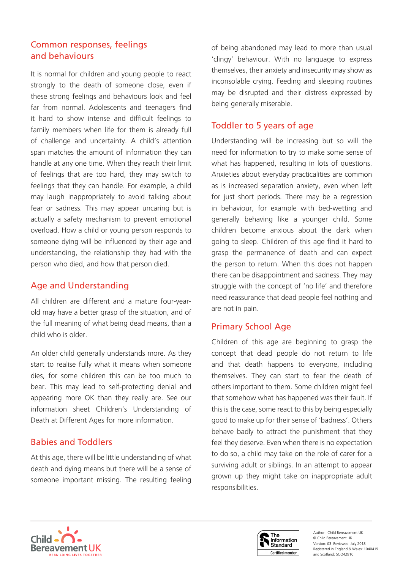# Common responses, feelings and behaviours

It is normal for children and young people to react strongly to the death of someone close, even if these strong feelings and behaviours look and feel far from normal. Adolescents and teenagers find it hard to show intense and difficult feelings to family members when life for them is already full of challenge and uncertainty. A child's attention span matches the amount of information they can handle at any one time. When they reach their limit of feelings that are too hard, they may switch to feelings that they can handle. For example, a child may laugh inappropriately to avoid talking about fear or sadness. This may appear uncaring but is actually a safety mechanism to prevent emotional overload. How a child or young person responds to someone dying will be influenced by their age and understanding, the relationship they had with the person who died, and how that person died.

# Age and Understanding

All children are different and a mature four-yearold may have a better grasp of the situation, and of the full meaning of what being dead means, than a child who is older.

An older child generally understands more. As they start to realise fully what it means when someone dies, for some children this can be too much to bear. This may lead to self-protecting denial and appearing more OK than they really are. See our information sheet Children's Understanding of Death at Different Ages for more information.

# Babies and Toddlers

At this age, there will be little understanding of what death and dying means but there will be a sense of someone important missing. The resulting feeling

of being abandoned may lead to more than usual 'clingy' behaviour. With no language to express themselves, their anxiety and insecurity may show as inconsolable crying. Feeding and sleeping routines may be disrupted and their distress expressed by being generally miserable.

# Toddler to 5 years of age

Understanding will be increasing but so will the need for information to try to make some sense of what has happened, resulting in lots of questions. Anxieties about everyday practicalities are common as is increased separation anxiety, even when left for just short periods. There may be a regression in behaviour, for example with bed-wetting and generally behaving like a younger child. Some children become anxious about the dark when going to sleep. Children of this age find it hard to grasp the permanence of death and can expect the person to return. When this does not happen there can be disappointment and sadness. They may struggle with the concept of 'no life' and therefore need reassurance that dead people feel nothing and are not in pain.

# Primary School Age

Children of this age are beginning to grasp the concept that dead people do not return to life and that death happens to everyone, including themselves. They can start to fear the death of others important to them. Some children might feel that somehow what has happened was their fault. If this is the case, some react to this by being especially good to make up for their sense of 'badness'. Others behave badly to attract the punishment that they feel they deserve. Even when there is no expectation to do so, a child may take on the role of carer for a surviving adult or siblings. In an attempt to appear grown up they might take on inappropriate adult responsibilities.



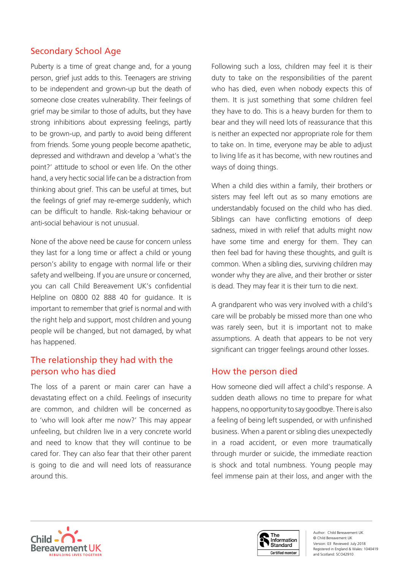# Secondary School Age

Puberty is a time of great change and, for a young person, grief just adds to this. Teenagers are striving to be independent and grown-up but the death of someone close creates vulnerability. Their feelings of grief may be similar to those of adults, but they have strong inhibitions about expressing feelings, partly to be grown-up, and partly to avoid being different from friends. Some young people become apathetic, depressed and withdrawn and develop a 'what's the point?' attitude to school or even life. On the other hand, a very hectic social life can be a distraction from thinking about grief. This can be useful at times, but the feelings of grief may re-emerge suddenly, which can be difficult to handle. Risk-taking behaviour or anti-social behaviour is not unusual.

None of the above need be cause for concern unless they last for a long time or affect a child or young person's ability to engage with normal life or their safety and wellbeing. If you are unsure or concerned, you can call Child Bereavement UK's confidential Helpline on 0800 02 888 40 for guidance. It is important to remember that grief is normal and with the right help and support, most children and young people will be changed, but not damaged, by what has happened.

# The relationship they had with the person who has died

The loss of a parent or main carer can have a devastating effect on a child. Feelings of insecurity are common, and children will be concerned as to 'who will look after me now?' This may appear unfeeling, but children live in a very concrete world and need to know that they will continue to be cared for. They can also fear that their other parent is going to die and will need lots of reassurance around this.

Following such a loss, children may feel it is their duty to take on the responsibilities of the parent who has died, even when nobody expects this of them. It is just something that some children feel they have to do. This is a heavy burden for them to bear and they will need lots of reassurance that this is neither an expected nor appropriate role for them to take on. In time, everyone may be able to adjust to living life as it has become, with new routines and ways of doing things.

When a child dies within a family, their brothers or sisters may feel left out as so many emotions are understandably focused on the child who has died. Siblings can have conflicting emotions of deep sadness, mixed in with relief that adults might now have some time and energy for them. They can then feel bad for having these thoughts, and guilt is common. When a sibling dies, surviving children may wonder why they are alive, and their brother or sister is dead. They may fear it is their turn to die next.

A grandparent who was very involved with a child's care will be probably be missed more than one who was rarely seen, but it is important not to make assumptions. A death that appears to be not very significant can trigger feelings around other losses.

## How the person died

How someone died will affect a child's response. A sudden death allows no time to prepare for what happens, no opportunity to say goodbye. There is also a feeling of being left suspended, or with unfinished business. When a parent or sibling dies unexpectedly in a road accident, or even more traumatically through murder or suicide, the immediate reaction is shock and total numbness. Young people may feel immense pain at their loss, and anger with the



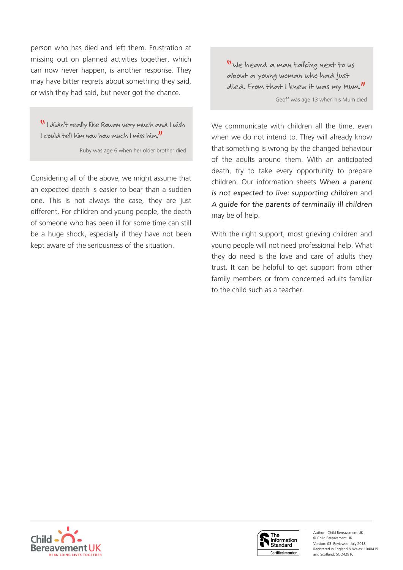person who has died and left them. Frustration at missing out on planned activities together, which can now never happen, is another response. They may have bitter regrets about something they said, or wish they had said, but never got the chance.

"I didn't really like Rowan very much and I wish I could tell him now how much I miss him."

Ruby was age 6 when her older brother died

Considering all of the above, we might assume that an expected death is easier to bear than a sudden one. This is not always the case, they are just different. For children and young people, the death of someone who has been ill for some time can still be a huge shock, especially if they have not been kept aware of the seriousness of the situation.

"We heard a man talking next to us about a young woman who had just died. From that I knew it was my Mum." Geoff was age 13 when his Mum died

We communicate with children all the time, even when we do not intend to. They will already know that something is wrong by the changed behaviour of the adults around them. With an anticipated death, try to take every opportunity to prepare children. Our information sheets When a parent is not expected to live: supporting children and A guide for the parents of terminally ill children may be of help.

With the right support, most grieving children and young people will not need professional help. What they do need is the love and care of adults they trust. It can be helpful to get support from other family members or from concerned adults familiar to the child such as a teacher.





Author: Child Bereavement UK © Child Bereavement UK Version: 03 Reviewed: July 2018 Registered in England & Wales: 1040419 and Scotland: SCO42910